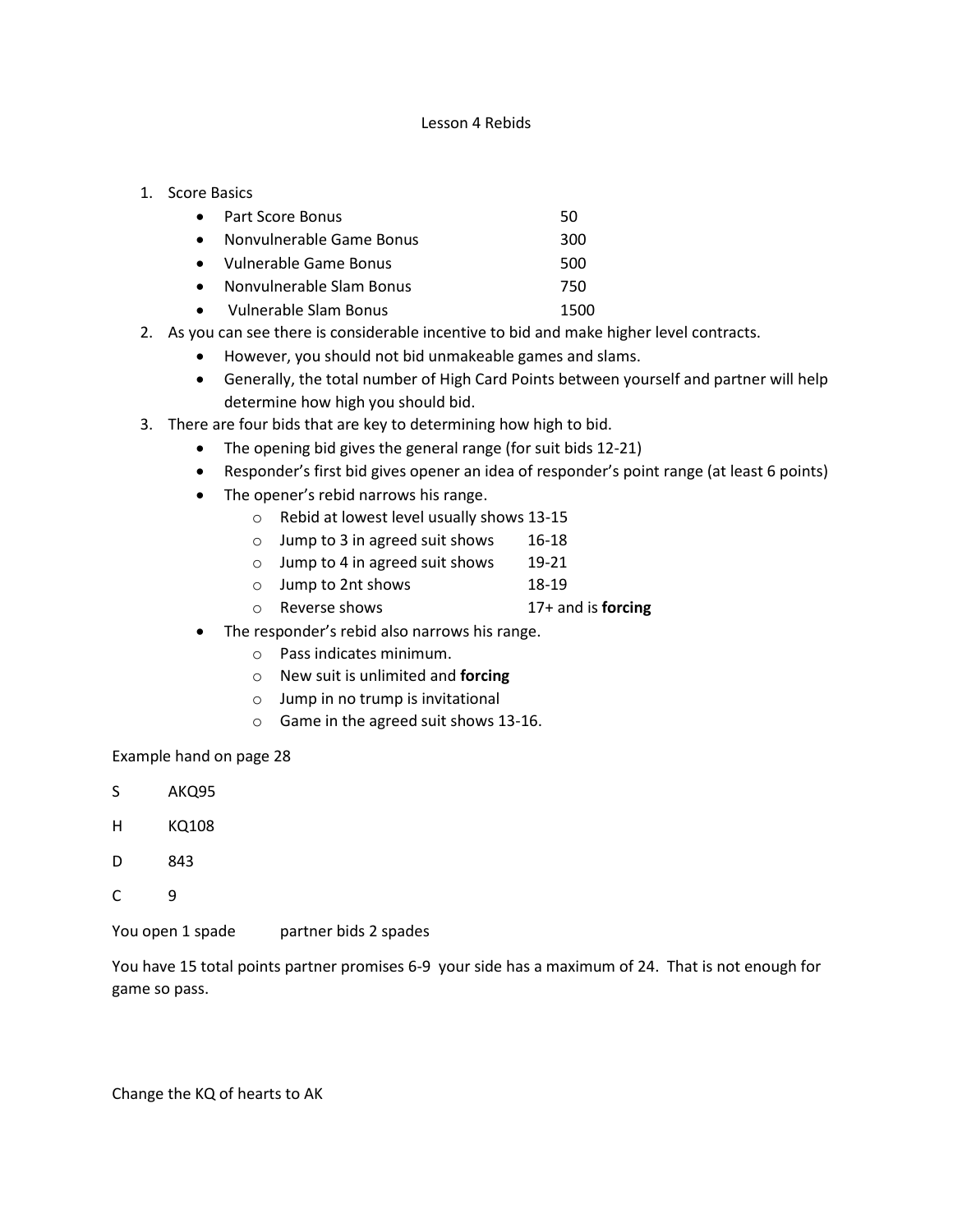## Lesson 4 Rebids

## 1. Score Basics

|  | Part Score Bonus |  |
|--|------------------|--|
|--|------------------|--|

- Nonvulnerable Game Bonus 300
- Vulnerable Game Bonus 500
- Nonvulnerable Slam Bonus 750
- Vulnerable Slam Bonus 1500
- 2. As you can see there is considerable incentive to bid and make higher level contracts.
	- However, you should not bid unmakeable games and slams.
	- Generally, the total number of High Card Points between yourself and partner will help determine how high you should bid.
- 3. There are four bids that are key to determining how high to bid.
	- The opening bid gives the general range (for suit bids 12-21)
	- Responder's first bid gives opener an idea of responder's point range (at least 6 points)
	- The opener's rebid narrows his range.
		- o Rebid at lowest level usually shows 13-15
		- o Jump to 3 in agreed suit shows 16-18
		- o Jump to 4 in agreed suit shows 19-21
		- o Jump to 2nt shows 18-19
		- o Reverse shows 17+ and is **forcing**
	- The responder's rebid also narrows his range.
		- o Pass indicates minimum.
		- o New suit is unlimited and **forcing**
		- o Jump in no trump is invitational
		- o Game in the agreed suit shows 13-16.

Example hand on page 28

- S AKQ95
- H KQ108
- D 843
- $C \qquad 9$

You open 1 spade partner bids 2 spades

You have 15 total points partner promises 6-9 your side has a maximum of 24. That is not enough for game so pass.

Change the KQ of hearts to AK